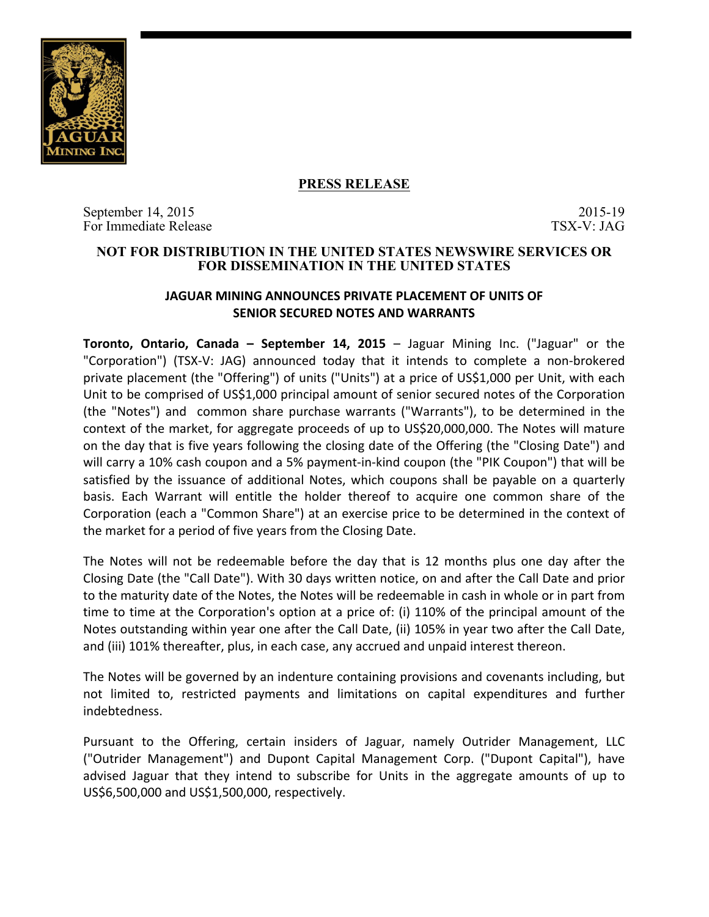

## **PRESS RELEASE**

September 14, 2015<br>For Immediate Release 2015-19<br>TSX-V: JAG For Immediate Release

## **NOT FOR DISTRIBUTION IN THE UNITED STATES NEWSWIRE SERVICES OR FOR DISSEMINATION IN THE UNITED STATES**

# **JAGUAR MINING ANNOUNCES PRIVATE PLACEMENT OF UNITS OF SENIOR SECURED NOTES AND WARRANTS**

**Toronto, Ontario, Canada - September 14, 2015** – Jaguar Mining Inc. ("Jaguar" or the "Corporation") (TSX-V: JAG) announced today that it intends to complete a non-brokered private placement (the "Offering") of units ("Units") at a price of US\$1,000 per Unit, with each Unit to be comprised of US\$1,000 principal amount of senior secured notes of the Corporation (the "Notes") and common share purchase warrants ("Warrants"), to be determined in the context of the market, for aggregate proceeds of up to US\$20,000,000. The Notes will mature on the day that is five years following the closing date of the Offering (the "Closing Date") and will carry a 10% cash coupon and a 5% payment-in-kind coupon (the "PIK Coupon") that will be satisfied by the issuance of additional Notes, which coupons shall be payable on a quarterly basis. Each Warrant will entitle the holder thereof to acquire one common share of the Corporation (each a "Common Share") at an exercise price to be determined in the context of the market for a period of five years from the Closing Date.

The Notes will not be redeemable before the day that is 12 months plus one day after the Closing Date (the "Call Date"). With 30 days written notice, on and after the Call Date and prior to the maturity date of the Notes, the Notes will be redeemable in cash in whole or in part from time to time at the Corporation's option at a price of: (i) 110% of the principal amount of the Notes outstanding within year one after the Call Date, (ii) 105% in year two after the Call Date, and (iii) 101% thereafter, plus, in each case, any accrued and unpaid interest thereon.

The Notes will be governed by an indenture containing provisions and covenants including, but not limited to, restricted payments and limitations on capital expenditures and further indebtedness.

Pursuant to the Offering, certain insiders of Jaguar, namely Outrider Management, LLC ("Outrider Management") and Dupont Capital Management Corp. ("Dupont Capital"), have advised Jaguar that they intend to subscribe for Units in the aggregate amounts of up to US\$6,500,000 and US\$1,500,000, respectively.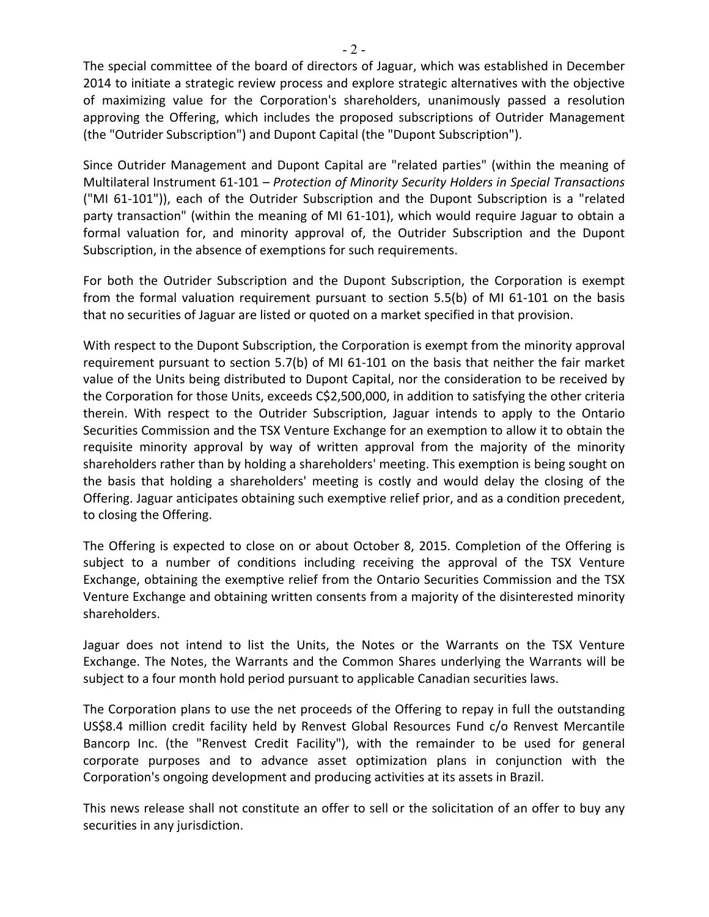The special committee of the board of directors of Jaguar, which was established in December 2014 to initiate a strategic review process and explore strategic alternatives with the objective of maximizing value for the Corporation's shareholders, unanimously passed a resolution approving the Offering, which includes the proposed subscriptions of Outrider Management (the "Outrider Subscription") and Dupont Capital (the "Dupont Subscription").

Since Outrider Management and Dupont Capital are "related parties" (within the meaning of Multilateral Instrument 61-101 – Protection of Minority Security Holders in Special Transactions ("MI 61-101")), each of the Outrider Subscription and the Dupont Subscription is a "related party transaction" (within the meaning of MI 61-101), which would require Jaguar to obtain a formal valuation for, and minority approval of, the Outrider Subscription and the Dupont Subscription, in the absence of exemptions for such requirements.

For both the Outrider Subscription and the Dupont Subscription, the Corporation is exempt from the formal valuation requirement pursuant to section  $5.5(b)$  of MI 61-101 on the basis that no securities of Jaguar are listed or quoted on a market specified in that provision.

With respect to the Dupont Subscription, the Corporation is exempt from the minority approval requirement pursuant to section 5.7(b) of MI 61-101 on the basis that neither the fair market value of the Units being distributed to Dupont Capital, nor the consideration to be received by the Corporation for those Units, exceeds C\$2,500,000, in addition to satisfying the other criteria therein. With respect to the Outrider Subscription, Jaguar intends to apply to the Ontario Securities Commission and the TSX Venture Exchange for an exemption to allow it to obtain the requisite minority approval by way of written approval from the majority of the minority shareholders rather than by holding a shareholders' meeting. This exemption is being sought on the basis that holding a shareholders' meeting is costly and would delay the closing of the Offering. Jaguar anticipates obtaining such exemptive relief prior, and as a condition precedent, to closing the Offering.

The Offering is expected to close on or about October 8, 2015. Completion of the Offering is subject to a number of conditions including receiving the approval of the TSX Venture Exchange, obtaining the exemptive relief from the Ontario Securities Commission and the TSX Venture Exchange and obtaining written consents from a majority of the disinterested minority shareholders. 

Jaguar does not intend to list the Units, the Notes or the Warrants on the TSX Venture Exchange. The Notes, the Warrants and the Common Shares underlying the Warrants will be subject to a four month hold period pursuant to applicable Canadian securities laws.

The Corporation plans to use the net proceeds of the Offering to repay in full the outstanding US\$8.4 million credit facility held by Renvest Global Resources Fund c/o Renvest Mercantile Bancorp Inc. (the "Renvest Credit Facility"), with the remainder to be used for general corporate purposes and to advance asset optimization plans in conjunction with the Corporation's ongoing development and producing activities at its assets in Brazil.

This news release shall not constitute an offer to sell or the solicitation of an offer to buy any securities in any jurisdiction.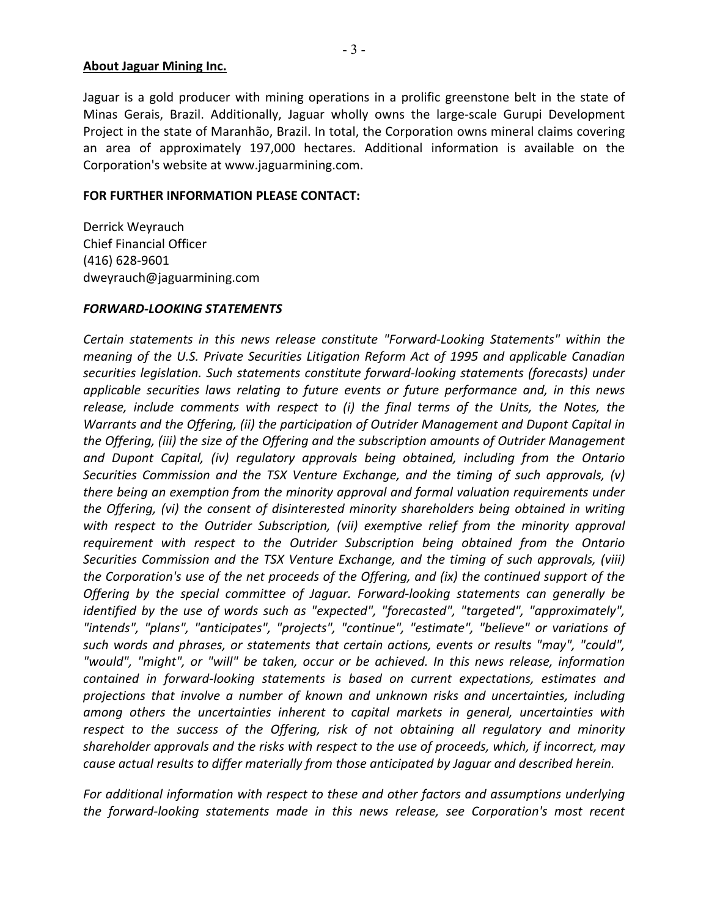#### **About Jaguar Mining Inc.**

Jaguar is a gold producer with mining operations in a prolific greenstone belt in the state of Minas Gerais, Brazil. Additionally, Jaguar wholly owns the large-scale Gurupi Development Project in the state of Maranhão, Brazil. In total, the Corporation owns mineral claims covering an area of approximately 197,000 hectares. Additional information is available on the Corporation's website at www.jaguarmining.com.

#### **FOR FURTHER INFORMATION PLEASE CONTACT:**

Derrick Weyrauch Chief Financial Officer (416) 628-9601 dweyrauch@jaguarmining.com

### *FORWARD-LOOKING STATEMENTS*

Certain statements in this news release constitute "Forward-Looking Statements" within the *meaning of the U.S. Private Securities Litigation Reform Act of 1995 and applicable Canadian* securities *legislation.* Such statements constitute forward-looking statements (forecasts) under *applicable securities laws relating to future events or future performance and, in this news* release, include comments with respect to (i) the final terms of the Units, the Notes, the *Warrants and the Offering, (ii) the participation of Outrider Management and Dupont Capital in* the Offering, (iii) the size of the Offering and the subscription amounts of Outrider Management and Dupont Capital, (iv) regulatory approvals being obtained, including from the Ontario *Securities Commission and the TSX Venture Exchange, and the timing of such approvals, (v) there being an exemption from the minority approval and formal valuation requirements under the Offering, (vi)* the consent of disinterested minority shareholders being obtained in writing with respect to the Outrider Subscription, (vii) exemptive relief from the minority approval requirement with respect to the Outrider Subscription being obtained from the Ontario Securities Commission and the TSX Venture Exchange, and the timing of such approvals, (viii) *the Corporation's use of the net proceeds of the Offering, and (ix) the continued support of the* Offering by the special committee of Jaguar. Forward-looking statements can generally be *identified by the use of words such as "expected", "forecasted", "targeted", "approximately",* "intends", "plans", "anticipates", "projects", "continue", "estimate", "believe" or variations of *such* words and phrases, or statements that certain actions, events or results "may", "could", "would", "might", or "will" be taken, occur or be achieved. In this news release, information *contained in forward-looking statements is based on current expectations, estimates and* projections that involve a number of known and unknown risks and uncertainties, including among others the uncertainties inherent to capital markets in general, uncertainties with respect to the success of the Offering, risk of not obtaining all regulatory and minority shareholder approvals and the risks with respect to the use of proceeds, which, if incorrect, may *cause actual results to differ materially from those anticipated by Jaguar and described herein.* 

For additional information with respect to these and other factors and assumptions underlying *the forward-looking statements made in this news release, see Corporation's most recent*